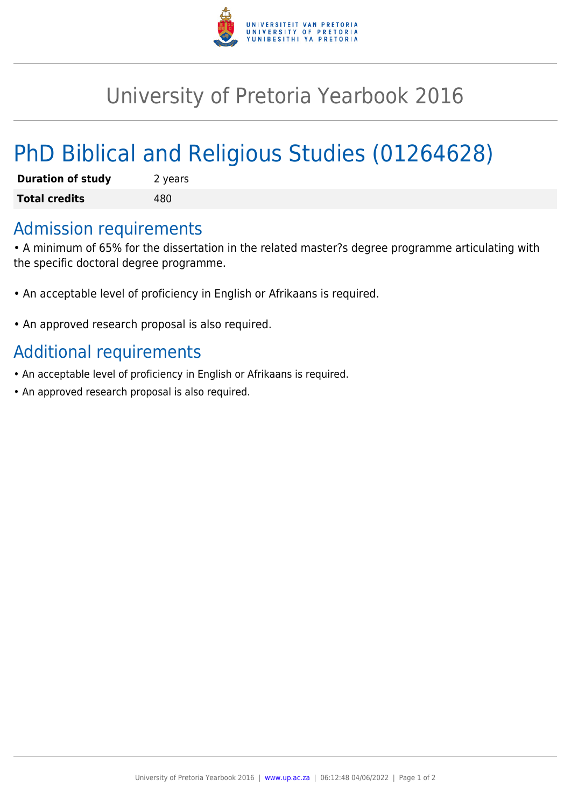

## University of Pretoria Yearbook 2016

# PhD Biblical and Religious Studies (01264628)

| <b>Duration of study</b> | 2 years |
|--------------------------|---------|
| <b>Total credits</b>     | 480     |

### Admission requirements

• A minimum of 65% for the dissertation in the related master?s degree programme articulating with the specific doctoral degree programme.

- An acceptable level of proficiency in English or Afrikaans is required.
- An approved research proposal is also required.

## Additional requirements

- An acceptable level of proficiency in English or Afrikaans is required.
- An approved research proposal is also required.